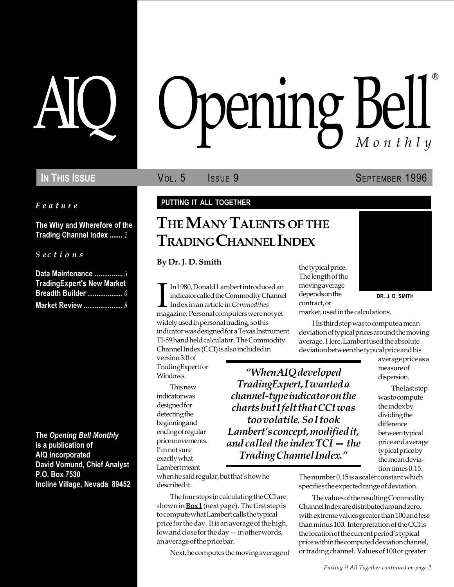Feature

The Why and Wherefore of the Trading Channel Index ....... 1

S ections

| Data Maintenance  5               |  |
|-----------------------------------|--|
| <b>TradingExpert's New Market</b> |  |
|                                   |  |
| <b>Market Review </b> 8           |  |

The Opening Bell Monthly is a publication of AIQ Incorporated David Vomund, Chief Analyst P.O. Box 7530 Incline Village, Nevada 89452

# pening Bell ®

In This Issue **SEPTEMBER 1996** Vol. 5 **SEPTEMBER 1996** 

#### PUTTING IT ALL TOGETHER

# THE MANY TALENTS OF THE TRADING CHANNEL INDEX

By Dr. J. D. Smith

In 1980, Donald Lambert introduced an indicator called the Commodity Channe<br>Index in an article in *Commodities*<br>magazine. Personal computers were not yet In 1980, Donald Lambert introduced an indicator called the Commodity Channel Index in an article in Commodities widely used in personal trading, so this indicator was designed for a Texas Instrument TI-59 hand held calculator. The Commodity Channel Index (CCI) is also included in

version 3.0 of **TradingExpert for** Windows.

**This new** indicator was designed for detecting the beginning and ending of regular price movements. I'm not sure exactly what Lambert meant

When AIQ developed TradingExpert, I wanted a channel-type indicator on the charts but I felt that CCI was too volatile. So I took Lambert's concept, modified it, and called the index  $TCI - the$ Trading Channel Index.

when he said regular, but that's how he described it.

The four steps in calculating the CCI are shown in  $Box1$  (next page). The first step is to compute what Lambert calls the typical price for the day. It is an average of the high, low and close for the day - in other words, an average of the price bar.

Next, he computes the moving average of

the typical price. The length of the moving average depends on the contract, or



DR. J. D. SMITH

market, used in the calculations.

His third step was to compute a mean deviation of typical prices around the moving average. Here, Lambert used the absolute deviation between the typical price and his

> average price as a measure of dispersion.

The last step was to compute the index by dividing the difference between typical price and average typical price by the mean deviation times 0.15.

The number 0.15 is a scaler constant which specifies the expected range of deviation.

The values of the resulting Commodity Channel Index are distributed around zero, with extreme values greater than 100 and less than minus 100. Interpretation of the CCI is the location of the current period's typical price within the computed deviation channel, or trading channel. Values of 100 or greater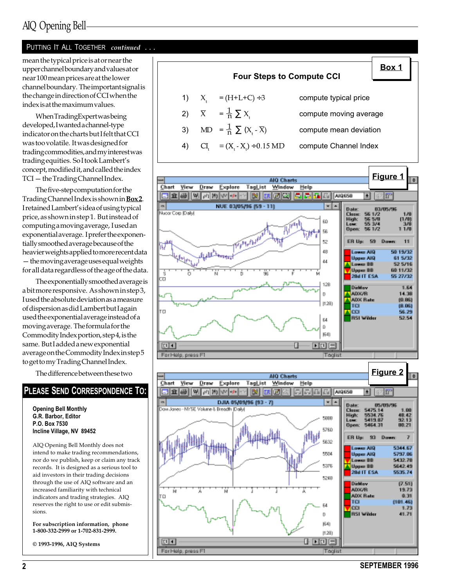## AIQ Opening Bell

#### PUTTING IT ALL TOGETHER continued ...

mean the typical price is at or near the upper channel boundary and values at or near 100 mean prices are at the lower channel boundary. The important signal is the change in direction of CCI when the index is at the maximum values.

When TradingExpert was being developed, I wanted a channel-type indicator on the charts but I felt that CCI was too volatile. It was designed for trading commodities, and my interest was trading equities. So I took Lambert's concept, modified it, and called the index TCI - the Trading Channel Index.

The five-step computation for the Trading Channel Index is shown in **Box 2**. I retained Lambert's idea of using typical price, as shown in step 1. But instead of computing a moving average, I used an exponential average. I prefer the exponentially smoothed average because of the heavier weights applied to more recent data  $-$  the moving average uses equal weights for all data regardless of the age of the data.

The exponentially smoothed average is a bit more responsive. As shown in step 3, I used the absolute deviation as a measure of dispersion as did Lambert but I again used the exponential average instead of a moving average. The formula for the Commodity Index portion, step 4, is the same. But I added a new exponential average on the Commodity Index in step 5 to get to my Trading Channel Index.

The difference between these two

#### PLEASE SEND CORRESPONDENCE TO:

Opening Bell Monthly G.R. Barbor, Editor P.O. Box 7530 Incline Village, NV 89452

AIQ Opening Bell Monthly does not intend to make trading recommendations, nor do we publish, keep or claim any track records. It is designed as a serious tool to aid investors in their trading decisions through the use of AIQ software and an increased familiarity with technical indicators and trading strategies. AIQ reserves the right to use or edit submissions.

For subscription information, phone 1-800-332-2999 or 1-702-831-2999.

© 1993-1996, AIQ Systems







2 SEPTEMBER 1996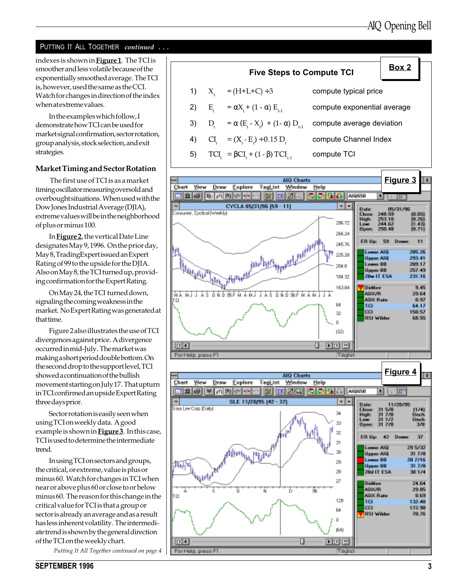## PUTTING IT ALL TOGETHER continued ...

indexes is shown in **Figure 1**. The TCI is smoother and less volatile because of the exponentially smoothed average. The TCI is, however, used the same as the CCI. Watch for changes in direction of the index when at extreme values.

In the examples which follow, I demonstrate how TCI can be used for market signal confirmation, sector rotation, group analysis, stock selection, and exit strategies.

#### Market Timing and Sector Rotation

 The first use of TCI is as a market timing oscillator measuring oversold and overbought situations. When used with the Dow Jones Industrial Average (DJIA), extreme values will be in the neighborhood of plus or minus 100.

In Figure 2, the vertical Date Line designates May 9, 1996. On the prior day, May 8, TradingExpert issued an Expert Rating of 99 to the upside for the DJIA. Also on May 8, the TCI turned up, providing confirmation for the Expert Rating.

On May 24, the TCI turned down, signaling the coming weakness in the market. No Expert Rating was generated at that time.

Figure 2 also illustrates the use of TCI divergences against price. A divergence occurred in mid-July. The market was making a short period double bottom. On the second drop to the support level, TCI showed a continuation of the bullish movement starting on July 17. That upturn in TCI confirmed an upside Expert Rating three days prior.

Sector rotation is easily seen when using TCI on weekly data. A good example is shown in **Figure 3**. In this case, TCI is used to determine the intermediate trend.

In using TCI on sectors and groups, the critical, or extreme, value is plus or minus 60. Watch for changes in TCI when near or above plus 60 or close to or below minus 60. The reason for this change in the critical value for TCI is that a group or sector is already an average and as a result has less inherent volatility. The intermediate trend is shown by the general direction of the TCI on the weekly chart.

Putting It All Together continued on page 4





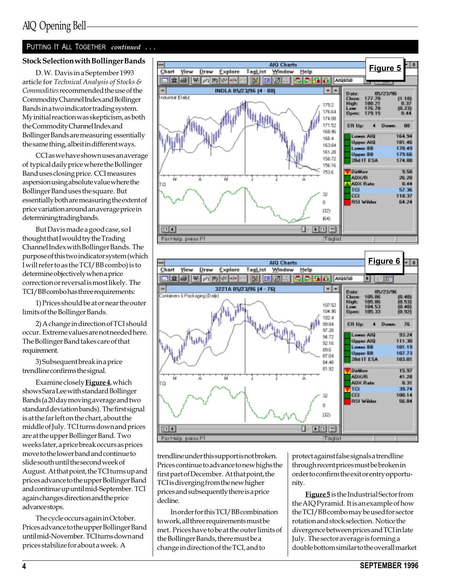#### PUTTING IT ALL TOGETHER continued ...

#### Stock Selection with Bollinger Bands

D. W. Davis in a September 1993 article for Technical Analysis of Stocks & Commodities recommended the use of the Commodity Channel Index and Bollinger Bands in a two indicator trading system. My initial reaction was skepticism, as both the Commodity Channel Index and Bollinger Bands are measuring essentially the same thing, albeit in different ways.

CCI as we have shown uses an average of typical daily price where the Bollinger Band uses closing price. CCI measures aspersion using absolute value where the Bollinger Band uses the square. But essentially both are measuring the extent of price variation around an average price in determining trading bands.

But Davis made a good case, so I thought that I would try the Trading Channel Index with Bollinger Bands. The purpose of this two indicator system (which I will refer to as the TCI/BB combo) is to determine objectively when a price correction or reversal is most likely. The TCI/BB combo has three requirements:

1) Prices should be at or near the outer limits of the Bollinger Bands.

2) A change in direction of TCI should occur. Extreme values are not needed here. The Bollinger Band takes care of that requirement.

3) Subsequent break in a price trendline confirms the signal.

Examine closely **Figure 4**, which shows Sara Lee with standard Bollinger Bands (a 20 day moving average and two standard deviation bands). The first signal is at the far left on the chart, about the middle of July. TCI turns down and prices are at the upper Bollinger Band. Two weeks later, a price break occurs as prices move to the lower band and continue to slide south until the second week of August. At that point, the TCI turns up and prices advance to the upper Bollinger Band and continue up until mid-September. TCI again changes direction and the price advance stops.

The cycle occurs again in October. Prices advance to the upper Bollinger Band until mid-November. TCI turns down and prices stabilize for about a week. A





trendline under this support is not broken. Prices continue to advance to new highs the first part of December. At that point, the TCI is diverging from the new higher prices and subsequently there is a price decline.

In order for this TCI/BB combination to work, all three requirements must be met. Prices have to be at the outer limits of the Bollinger Bands, there must be a change in direction of the TCI, and to

protect against false signals a trendline through recent prices must be broken in order to confirm the exit or entry opportunity.

**Figure 5** is the Industrial Sector from the AIQ Pyramid. It is an example of how the TCI/BB combo may be used for sector rotation and stock selection. Notice the divergence between prices and TCI in late July. The sector average is forming a double bottom similar to the overall market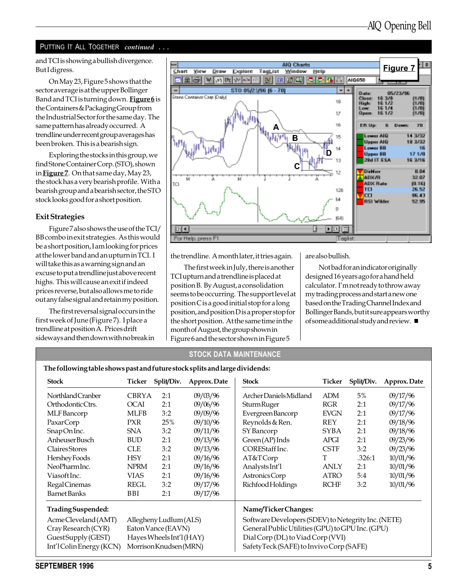#### PUTTING IT ALL TOGETHER continued ...

But I digress.

On May 23, Figure 5 shows that the sector average is at the upper Bollinger Band and TCI is turning down. Figure 6 is the Containers & Packaging Group from the Industrial Sector for the same day. The same pattern has already occurred. A trendline under recent group averages has been broken. This is a bearish sign.

Exploring the stocks in this group, we find Stone Container Corp. (STO), shown in **Figure 7**. On that same day, May 23, the stock has a very bearish profile. With a bearish group and a bearish sector, the STO stock looks good for a short position.

#### Exit Strategies

Figure 7 also shows the use of the TCI/ BB combo in exit strategies. As this would be a short position, I am looking for prices at the lower band and an upturn in TCI. I will take this as a warning sign and an excuse to put a trendline just above recent highs. This will cause an exit if indeed prices reverse, but also allows me to ride out any false signal and retain my position.

The first reversal signal occurs in the first week of June (Figure 7). I place a trendline at position A. Prices drift sideways and then down with no break in



the trendline. A month later, it tries again.

The first week in July, there is another TCI upturn and a trendline is placed at position B. By August, a consolidation seems to be occurring. The support level at position C is a good initial stop for a long position, and position D is a proper stop for the short position. At the same time in the month of August, the group shown in Figure 6 and the sector shown in Figure 5

are also bullish.

Not bad for an indicator originally designed 16 years ago for a hand held calculator. I'm not ready to throw away my trading process and start a new one based on the Trading Channel Index and Bollinger Bands, but it sure appears worthy of some additional study and review.

#### STOCK DATA MAINTENANCE

The following table shows past and future stock splits and large dividends:

| <b>Stock</b>                                  | Ticker                                        | Split/Div.                                       | Approx. Date         | <b>Stock</b>                                        | Ticker      | Split/Div. | Approx. Date |  |  |  |  |
|-----------------------------------------------|-----------------------------------------------|--------------------------------------------------|----------------------|-----------------------------------------------------|-------------|------------|--------------|--|--|--|--|
| Northland Cranber                             | <b>CBRYA</b>                                  | 2:1                                              | 09/03/96             | Archer Daniels Midland                              | ADM         | 5%         | 09/17/96     |  |  |  |  |
| Orthodontic Ctrs.                             | <b>OCAI</b><br>2:1<br>09/06/96<br>Sturm Ruger |                                                  |                      | <b>RGR</b>                                          | 2:1         | 09/17/96   |              |  |  |  |  |
| MLF Bancorp                                   | <b>MLFB</b>                                   | 3:2                                              | 09/09/96             | Evergreen Bancorp                                   | <b>EVGN</b> | 2:1        | 09/17/96     |  |  |  |  |
| PaxarCorp                                     | <b>PXR</b>                                    | 25%                                              | 09/10/96             | Reynolds & Ren.                                     | <b>REY</b>  | 2:1        | 09/18/96     |  |  |  |  |
| SnapOn Inc.                                   | <b>SNA</b>                                    | 3:2                                              | 09/11/96             | SY Bancorp                                          | SYBA        | 2:1        | 09/18/96     |  |  |  |  |
| Anheuser Busch                                | <b>BUD</b>                                    | 2:1                                              | 09/13/96             | Green (AP) Inds                                     | <b>APGI</b> | 2:1        | 09/23/96     |  |  |  |  |
| <b>Claires</b> Stores                         | <b>CLE</b>                                    | 3:2                                              | 09/13/96             | COREStaff Inc.                                      | <b>CSTF</b> | 3:2        | 09/23/96     |  |  |  |  |
| Hershey Foods                                 | <b>HSY</b>                                    | 2:1                                              | 09/16/96             | AT&TCorp                                            | T           | .326:1     | 10/01/96     |  |  |  |  |
| NeoPharmInc.                                  | <b>NPRM</b>                                   | 2:1                                              | 09/16/96             | Analysts Int'l                                      | ANLY        | 2:1        | 10/01/96     |  |  |  |  |
| Viasoft Inc.                                  | <b>VIAS</b>                                   | 2:1                                              | 09/16/96             | Astronics Corp                                      | <b>ATRO</b> | 5:4        | 10/01/96     |  |  |  |  |
| Regal Cinemas                                 | REGL<br>3:2                                   |                                                  | 09/17/96             | Richfood Holdings                                   | <b>RCHF</b> | 3:2        | 10/01/96     |  |  |  |  |
| <b>Barnet Banks</b>                           | BBI                                           | 2:1                                              | 09/17/96             |                                                     |             |            |              |  |  |  |  |
| Trading Suspended:                            |                                               |                                                  | Name/Ticker Changes: |                                                     |             |            |              |  |  |  |  |
| AcmeCleveland (AMT)<br>Allegheny Ludlum (ALS) |                                               |                                                  |                      | Software Developers (SDEV) to Netegrity Inc. (NETE) |             |            |              |  |  |  |  |
| Cray Research (CYR)<br>Eaton Vance (EAVN)     |                                               | General Public Utilities (GPU) to GPU Inc. (GPU) |                      |                                                     |             |            |              |  |  |  |  |
| GuestSupply (GEST)                            |                                               | Hayes Wheels Int'l (HAY)                         |                      | Dial Corp (DL) to Viad Corp (VVI)                   |             |            |              |  |  |  |  |
| Int'l Colin Energy (KCN)                      |                                               | Morrison Knudsen (MRN)                           |                      | SafetyTeck (SAFE) to Invivo Corp (SAFE)             |             |            |              |  |  |  |  |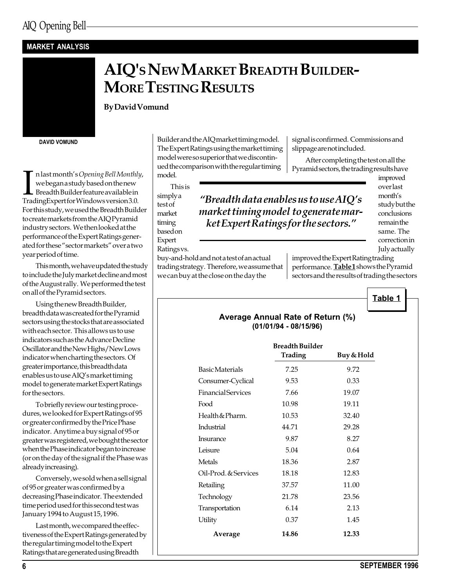## MARKET ANALYSIS



By David Vomund

DAVID VOMUND

 $\begin{array}{l} \displaystyle\prod_{\text{we began a study based on the new} } \hbox{{\rm \bf model}}\ \text{Kondel} \end{array}$ n last month's Opening Bell Monthly, we began a study based on the new Breadth Builder feature available in For this study, we used the Breadth Builder to create markets from the AIQ Pyramid industry sectors. We then looked at the performance of the Expert Ratings generated for these "sector markets" over a two year period of time.

This month, we have updated the study to include the July market decline and most of the August rally. We performed the test on all of the Pyramid sectors.

Using the new Breadth Builder, breadth data was created for the Pyramid sectors using the stocks that are associated with each sector. This allows us to use indicators such as the Advance Decline Oscillator and the New Highs/New Lows indicator when charting the sectors. Of greater importance, this breadth data enables us to use AIQ's market timing model to generate market Expert Ratings for the sectors.

To briefly review our testing procedures, we looked for Expert Ratings of 95 or greater confirmed by the Price Phase indicator. Anytime a buy signal of 95 or greater was registered, we bought the sector when the Phase indicator began to increase (or on the day of the signal if the Phase was already increasing).

Conversely, we sold when a sell signal of 95 or greater was confirmed by a decreasing Phase indicator. The extended time period used for this second test was January 1994 to August 15, 1996.

Last month, we compared the effectiveness of the Expert Ratings generated by the regular timing model to the Expert Ratings that are generated using Breadth

Builder and the AIQ market timing model. The Expert Ratings using the market timing model were so superior that we discontinued the comparison with the regular timing model.

signal is confirmed. Commissions and slippage are not included.

After completing the test on all the Pyramid sectors, the trading results have

This is simply a

test of market timing based on Expert Ratings vs.

"Breadth data enables us to use  $AIO's$ market timing model to generate market Expert Ratings for the sectors.

improved over last month's study but the conclusions remain the same. The correction in July actually

buy-and-hold and not a test of an actual trading strategy. Therefore, we assume that we can buy at the close on the day the

improved the Expert Rating trading performance. Table1 shows the Pyramid sectors and the results of trading the sectors

Table 1

|                           | Average Annual Rate of Return (%)<br>(01/01/94 - 08/15/96) |            |  |  |  |  |  |  |  |  |  |
|---------------------------|------------------------------------------------------------|------------|--|--|--|--|--|--|--|--|--|
|                           | <b>Breadth Builder</b><br><b>Trading</b>                   | Buy & Hold |  |  |  |  |  |  |  |  |  |
| <b>Basic Materials</b>    | 7.25                                                       | 9.72       |  |  |  |  |  |  |  |  |  |
| Consumer-Cyclical         | 9.53                                                       | 0.33       |  |  |  |  |  |  |  |  |  |
| <b>Financial Services</b> | 7.66                                                       | 19.07      |  |  |  |  |  |  |  |  |  |
| Food                      | 10.98                                                      | 19.11      |  |  |  |  |  |  |  |  |  |
| Health & Pharm.           | 10.53                                                      | 32.40      |  |  |  |  |  |  |  |  |  |
| Industrial                | 44.71                                                      | 29.28      |  |  |  |  |  |  |  |  |  |
| <b>Insurance</b>          | 9.87                                                       | 8.27       |  |  |  |  |  |  |  |  |  |
| Leisure                   | 5.04                                                       | 0.64       |  |  |  |  |  |  |  |  |  |
| Metals                    | 18.36                                                      | 2.87       |  |  |  |  |  |  |  |  |  |
| Oil-Prod. & Services      | 18.18                                                      | 12.83      |  |  |  |  |  |  |  |  |  |
| Retailing                 | 37.57                                                      | 11.00      |  |  |  |  |  |  |  |  |  |
| Technology                | 21.78                                                      | 23.56      |  |  |  |  |  |  |  |  |  |
| Transportation            | 6.14                                                       | 2.13       |  |  |  |  |  |  |  |  |  |
| Utility                   | 0.37                                                       | 1.45       |  |  |  |  |  |  |  |  |  |
| Average                   | 14.86                                                      | 12.33      |  |  |  |  |  |  |  |  |  |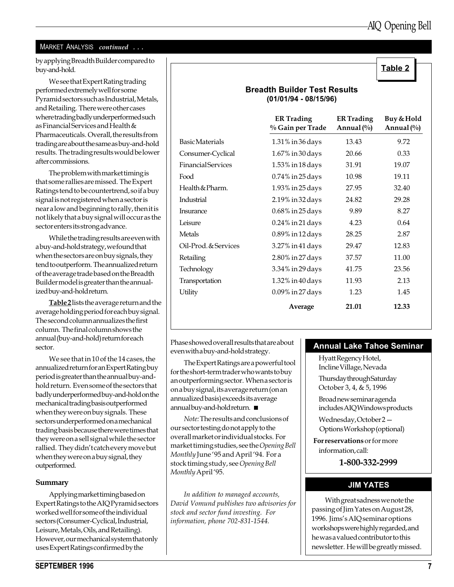#### MARKET ANALYSIS continued ...

by applying Breadth Builder compared to buy-and-hold.

We see that Expert Rating trading performed extremely well for some Pyramid sectors such as Industrial, Metals, and Retailing. There were other cases where trading badly underperformed such as Financial Services and Health & Pharmaceuticals. Overall, the results from trading are about the same as buy-and-hold results. The trading results would be lower after commissions.

The problem with market timing is that some rallies are missed. The Expert Ratings tend to be countertrend, so if a buy signal is not registered when a sector is near a low and beginning to rally, then it is not likely that a buy signal will occur as the sector enters its strong advance.

While the trading results are even with a buy-and-hold strategy, we found that when the sectors are on buy signals, they tend to outperform. The annualized return of the average trade based on the Breadth Builder model is greater than the annualized buy-and-hold return.

Table 2 lists the average return and the average holding period for each buy signal. The second column annualizes the first column. The final column shows the annual (buy-and-hold) return for each sector.

We see that in 10 of the 14 cases, the annualized return for an Expert Rating buy period is greater than the annual buy-andhold return. Even some of the sectors that badly underperformed buy-and-hold on the mechanical trading basis outperformed when they were on buy signals. These sectors underperformed on a mechanical trading basis because there were times that they were on a sell signal while the sector rallied. They didn't catch every move but when they were on a buy signal, they outperformed.

#### Summary

Applying market timing based on Expert Ratings to the AIQ Pyramid sectors worked well for some of the individual sectors (Consumer-Cyclical, Industrial, Leisure, Metals, Oils, and Retailing). However, our mechanical system that only uses Expert Ratings confirmed by the

#### Breadth Builder Test Results (01/01/94 - 08/15/96)

|                        | <b>ER Trading</b><br>% Gain per Trade | <b>ER Trading</b><br>Annual $(\%)$ | Buy & Hold<br>Annual (%) |
|------------------------|---------------------------------------|------------------------------------|--------------------------|
| <b>Basic Materials</b> | 1.31% in 36 days                      | 13.43                              | 9.72                     |
| Consumer-Cyclical      | $1.67\%$ in 30 days                   | 20.66                              | 0.33                     |
| Financial Services     | $1.53\%$ in 18 days                   | 31.91                              | 19.07                    |
| Food                   | 0.74% in 25 days                      | 10.98                              | 19.11                    |
| Health & Pharm.        | 1.93% in 25 days                      | 27.95                              | 32.40                    |
| Industrial             | 2.19% in 32 days                      | 24.82                              | 29.28                    |
| Insurance              | 0.68% in 25 days                      | 9.89                               | 8.27                     |
| Leisure                | $0.24\%$ in 21 days                   | 4.23                               | 0.64                     |
| Metals                 | 0.89% in 12 days                      | 28.25                              | 2.87                     |
| Oil-Prod. & Services   | 3.27% in 41 days                      | 29.47                              | 12.83                    |
| Retailing              | 2.80% in 27 days                      | 37.57                              | 11.00                    |
| Technology             | 3.34% in 29 days                      | 41.75                              | 23.56                    |
| Transportation         | $1.32\%$ in 40 days                   | 11.93                              | 2.13                     |
| Utility                | 0.09% in 27 days                      | 1.23                               | 1.45                     |
|                        | Average                               | 21.01                              | 12.33                    |

Phase showed overall results that are about even with a buy-and-hold strategy.

The Expert Ratings are a powerful tool for the short-term trader who wants to buy an outperforming sector. When a sector is on a buy signal, its average return (on an annualized basis) exceeds its average annual buy-and-hold return.

Note: The results and conclusions of our sector testing do not apply to the overall market or individual stocks. For market timing studies, see the Opening Bell Monthly June '95 and April '94. For a stock timing study, see Opening Bell Monthly April'95.

In addition to managed accounts, David Vomund publishes two advisories for stock and sector fund investing. For information, phone 702-831-1544.

#### Annual Lake Tahoe Seminar

Hyatt Regency Hotel, Incline Village, Nevada Thursday through Saturday October 3, 4, & 5, 1996 Broad new seminar agenda includes AIQ Windows products Wednesday, October 2

Options Workshop (optional)

For reservations or for more information, call:

1-800-332-2999

#### JIM YATES

With great sadness we note the passing of Jim Yates on August 28, 1996. Jims's AIQ seminar options workshops were highly regarded, and he was a valued contributor to this newsletter. He will be greatly missed.